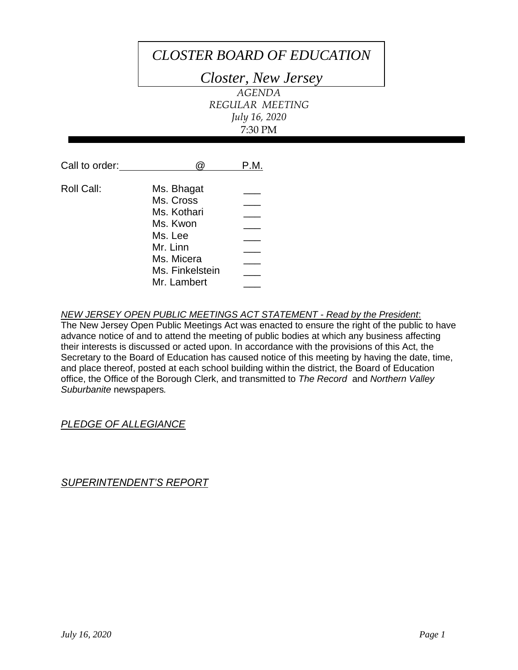# *CLOSTER BOARD OF EDUCATION*

*Closter, New Jersey*

*AGENDA REGULAR MEETING July 16, 2020* 7:30 PM

| Call to order: |                 | P.M. |
|----------------|-----------------|------|
| Roll Call:     | Ms. Bhagat      |      |
|                | Ms. Cross       |      |
|                | Ms. Kothari     |      |
|                | Ms. Kwon        |      |
|                | Ms. Lee         |      |
|                | Mr. Linn        |      |
|                | Ms. Micera      |      |
|                | Ms. Finkelstein |      |
|                | Mr. Lambert     |      |

# *NEW JERSEY OPEN PUBLIC MEETINGS ACT STATEMENT - Read by the President*:

The New Jersey Open Public Meetings Act was enacted to ensure the right of the public to have advance notice of and to attend the meeting of public bodies at which any business affecting their interests is discussed or acted upon. In accordance with the provisions of this Act, the Secretary to the Board of Education has caused notice of this meeting by having the date, time, and place thereof, posted at each school building within the district, the Board of Education office, the Office of the Borough Clerk, and transmitted to *The Record* and *Northern Valley Suburbanite* newspapers*.*

# *PLEDGE OF ALLEGIANCE*

*SUPERINTENDENT'S REPORT*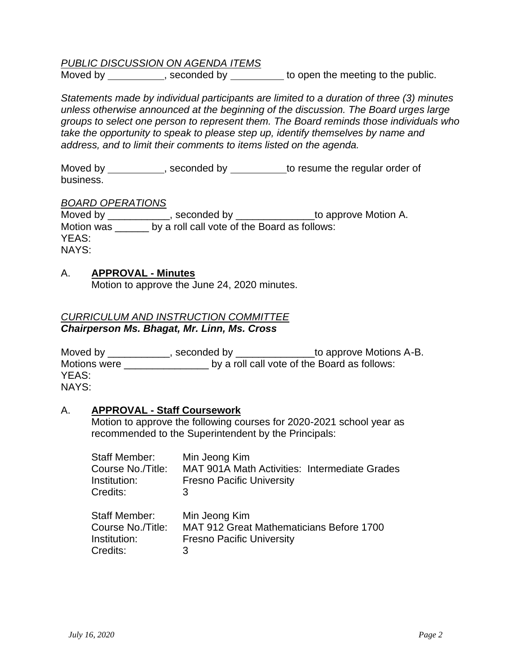# *PUBLIC DISCUSSION ON AGENDA ITEMS*

Moved by \_\_\_\_\_\_\_\_\_\_, seconded by \_\_\_\_\_\_\_\_ to open the meeting to the public.

*Statements made by individual participants are limited to a duration of three (3) minutes unless otherwise announced at the beginning of the discussion. The Board urges large groups to select one person to represent them. The Board reminds those individuals who take the opportunity to speak to please step up, identify themselves by name and address, and to limit their comments to items listed on the agenda.* 

Moved by example by to resume the regular order of business.

#### *BOARD OPERATIONS*

Moved by \_\_\_\_\_\_\_\_\_\_\_\_, seconded by \_\_\_\_\_\_\_\_\_\_\_\_\_\_\_\_to approve Motion A. Motion was \_\_\_\_\_\_ by a roll call vote of the Board as follows: YEAS: NAYS:

#### A. **APPROVAL - Minutes**

Motion to approve the June 24, 2020 minutes.

# *CURRICULUM AND INSTRUCTION COMMITTEE Chairperson Ms. Bhagat, Mr. Linn, Ms. Cross*

Moved by \_\_\_\_\_\_\_\_\_\_\_, seconded by \_\_\_\_\_\_\_\_\_\_\_\_\_\_to approve Motions A-B. Motions were **Example 20** by a roll call vote of the Board as follows: YEAS: NAYS:

#### A. **APPROVAL - Staff Coursework**

Motion to approve the following courses for 2020-2021 school year as recommended to the Superintendent by the Principals:

| <b>Staff Member:</b>                                                  | Min Jeong Kim                                                                                 |  |
|-----------------------------------------------------------------------|-----------------------------------------------------------------------------------------------|--|
| Course No./Title:                                                     | <b>MAT 901A Math Activities: Intermediate Grades</b>                                          |  |
| Institution:                                                          | <b>Fresno Pacific University</b>                                                              |  |
| Credits:                                                              | 3                                                                                             |  |
| <b>Staff Member:</b><br>Course No./Title:<br>Institution:<br>Credits: | Min Jeong Kim<br>MAT 912 Great Mathematicians Before 1700<br><b>Fresno Pacific University</b> |  |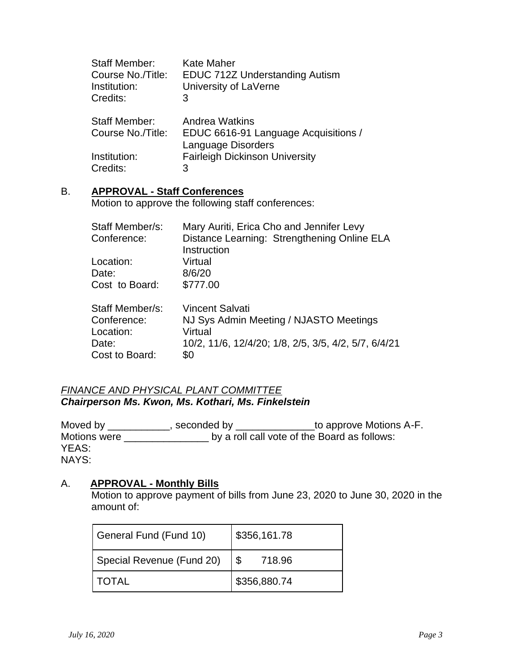| <b>Staff Member:</b> | <b>Kate Maher</b>                     |
|----------------------|---------------------------------------|
| Course No./Title:    | <b>EDUC 712Z Understanding Autism</b> |
| Institution:         | University of LaVerne                 |
| Credits:             | 3                                     |
| <b>Staff Member:</b> | Andrea Watkins                        |
| Course No./Title:    | EDUC 6616-91 Language Acquisitions /  |
|                      | Language Disorders                    |
| Institution:         | <b>Fairleigh Dickinson University</b> |
| Credits:             | 3                                     |

# B. **APPROVAL - Staff Conferences**

Motion to approve the following staff conferences:

| Staff Member/s: | Mary Auriti, Erica Cho and Jennifer Levy             |
|-----------------|------------------------------------------------------|
| Conference:     | Distance Learning: Strengthening Online ELA          |
|                 | Instruction                                          |
| Location:       | Virtual                                              |
| Date:           | 8/6/20                                               |
| Cost to Board:  | \$777.00                                             |
| Staff Member/s: | <b>Vincent Salvati</b>                               |
| Conference:     | NJ Sys Admin Meeting / NJASTO Meetings               |
| Location:       | Virtual                                              |
| Date:           | 10/2, 11/6, 12/4/20; 1/8, 2/5, 3/5, 4/2, 5/7, 6/4/21 |
| Cost to Board:  | \$0                                                  |

# *FINANCE AND PHYSICAL PLANT COMMITTEE Chairperson Ms. Kwon, Ms. Kothari, Ms. Finkelstein*

Moved by \_\_\_\_\_\_\_\_\_\_\_, seconded by \_\_\_\_\_\_\_\_\_\_\_\_\_\_to approve Motions A-F. Motions were \_\_\_\_\_\_\_\_\_\_\_\_\_\_\_\_\_\_\_\_\_\_\_ by a roll call vote of the Board as follows: YEAS: NAYS:

## A. **APPROVAL - Monthly Bills**

Motion to approve payment of bills from June 23, 2020 to June 30, 2020 in the amount of:

| General Fund (Fund 10)    | \$356,161.78 |  |
|---------------------------|--------------|--|
| Special Revenue (Fund 20) | 718.96       |  |
| <b>TOTAL</b>              | \$356,880.74 |  |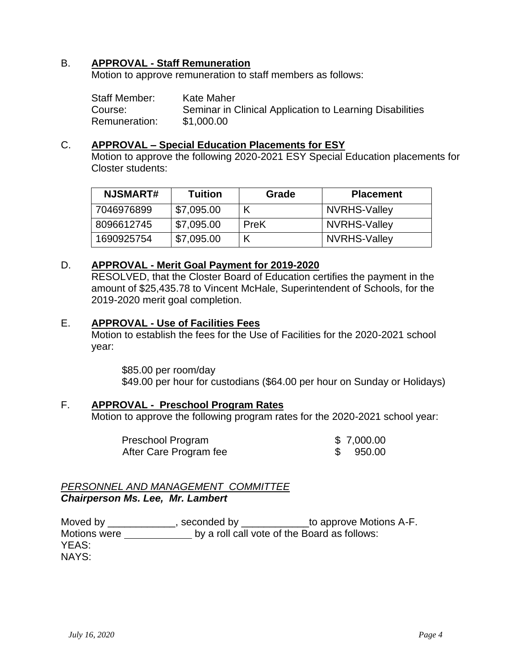#### B. **APPROVAL - Staff Remuneration**

Motion to approve remuneration to staff members as follows:

Staff Member: Kate Maher Course: Seminar in Clinical Application to Learning Disabilities Remuneration: \$1,000.00

#### C. **APPROVAL – Special Education Placements for ESY**

Motion to approve the following 2020-2021 ESY Special Education placements for Closter students:

| <b>NJSMART#</b> | Tuition    | Grade | <b>Placement</b> |
|-----------------|------------|-------|------------------|
| 7046976899      | \$7,095.00 |       | NVRHS-Valley     |
| 8096612745      | \$7,095.00 | PreK  | NVRHS-Valley     |
| 1690925754      | \$7,095.00 |       | NVRHS-Valley     |

## D. **APPROVAL - Merit Goal Payment for 2019-2020**

RESOLVED, that the Closter Board of Education certifies the payment in the amount of \$25,435.78 to Vincent McHale, Superintendent of Schools, for the 2019-2020 merit goal completion.

#### E. **APPROVAL - Use of Facilities Fees**

Motion to establish the fees for the Use of Facilities for the 2020-2021 school year:

\$85.00 per room/day \$49.00 per hour for custodians (\$64.00 per hour on Sunday or Holidays)

#### F. **APPROVAL - Preschool Program Rates**

Motion to approve the following program rates for the 2020-2021 school year:

| Preschool Program      | \$7,000.00 |
|------------------------|------------|
| After Care Program fee | 950.00     |

#### *PERSONNEL AND MANAGEMENT COMMITTEE Chairperson Ms. Lee, Mr. Lambert*

Moved by \_\_\_\_\_\_\_\_\_\_\_\_\_, seconded by \_\_\_\_\_\_\_\_\_\_\_\_\_to approve Motions A-F. Motions were  $\_\_\_\_\_\_\_\_\_\_\_\_\_\_\_\_\_\_\_\_\_$  by a roll call vote of the Board as follows: YEAS: NAYS: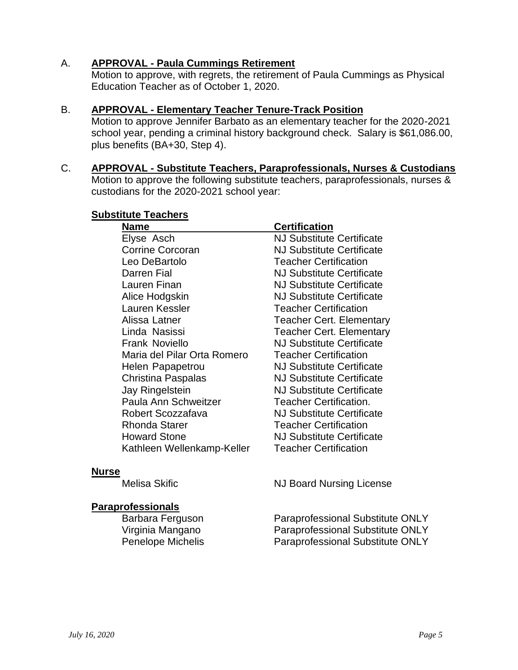# A. **APPROVAL - Paula Cummings Retirement**

Motion to approve, with regrets, the retirement of Paula Cummings as Physical Education Teacher as of October 1, 2020.

#### B. **APPROVAL - Elementary Teacher Tenure-Track Position**

Motion to approve Jennifer Barbato as an elementary teacher for the 2020-2021 school year, pending a criminal history background check. Salary is \$61,086.00, plus benefits (BA+30, Step 4).

C. **APPROVAL - Substitute Teachers, Paraprofessionals, Nurses & Custodians** Motion to approve the following substitute teachers, paraprofessionals, nurses & custodians for the 2020-2021 school year:

#### **Substitute Teachers**

| Name                        | <b>Certification</b>             |
|-----------------------------|----------------------------------|
| Elyse Asch                  | <b>NJ Substitute Certificate</b> |
| <b>Corrine Corcoran</b>     | <b>NJ Substitute Certificate</b> |
| Leo DeBartolo               | <b>Teacher Certification</b>     |
| Darren Fial                 | <b>NJ Substitute Certificate</b> |
| Lauren Finan                | <b>NJ Substitute Certificate</b> |
| Alice Hodgskin              | <b>NJ Substitute Certificate</b> |
| Lauren Kessler              | <b>Teacher Certification</b>     |
| Alissa Latner               | <b>Teacher Cert. Elementary</b>  |
| Linda Nasissi               | <b>Teacher Cert. Elementary</b>  |
| <b>Frank Noviello</b>       | <b>NJ Substitute Certificate</b> |
| Maria del Pilar Orta Romero | <b>Teacher Certification</b>     |
| Helen Papapetrou            | <b>NJ Substitute Certificate</b> |
| <b>Christina Paspalas</b>   | <b>NJ Substitute Certificate</b> |
| Jay Ringelstein             | <b>NJ Substitute Certificate</b> |
| Paula Ann Schweitzer        | <b>Teacher Certification.</b>    |
| Robert Scozzafava           | <b>NJ Substitute Certificate</b> |
| <b>Rhonda Starer</b>        | <b>Teacher Certification</b>     |
| <b>Howard Stone</b>         | <b>NJ Substitute Certificate</b> |
| Kathleen Wellenkamp-Keller  | <b>Teacher Certification</b>     |

#### **Nurse**

# **Paraprofessionals**

Melisa Skific **NJ Board Nursing License** 

Barbara Ferguson Paraprofessional Substitute ONLY Virginia Mangano Paraprofessional Substitute ONLY Penelope Michelis Paraprofessional Substitute ONLY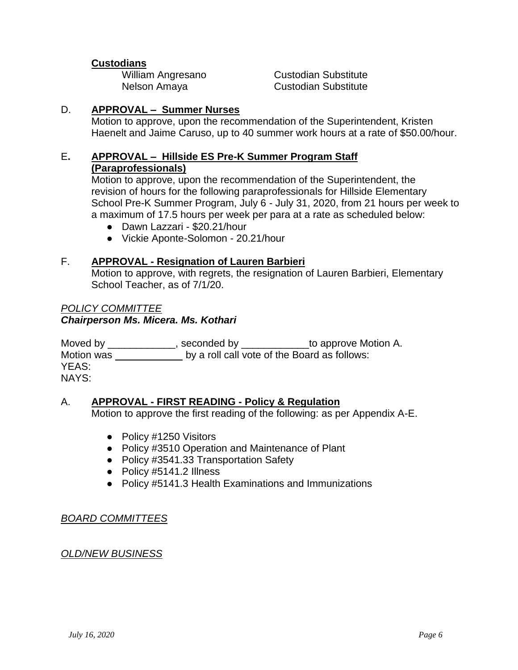# **Custodians**

**William Angresano Custodian Substitute** Nelson Amaya Custodian Substitute

## D. **APPROVAL – Summer Nurses**

Motion to approve, upon the recommendation of the Superintendent, Kristen Haenelt and Jaime Caruso, up to 40 summer work hours at a rate of \$50.00/hour.

#### E**. APPROVAL – Hillside ES Pre-K Summer Program Staff (Paraprofessionals)**

Motion to approve, upon the recommendation of the Superintendent, the revision of hours for the following paraprofessionals for Hillside Elementary School Pre-K Summer Program, July 6 - July 31, 2020, from 21 hours per week to a maximum of 17.5 hours per week per para at a rate as scheduled below:

- Dawn Lazzari \$20.21/hour
- Vickie Aponte-Solomon 20.21/hour

## F. **APPROVAL - Resignation of Lauren Barbieri**

Motion to approve, with regrets, the resignation of Lauren Barbieri, Elementary School Teacher, as of 7/1/20.

## *POLICY COMMITTEE Chairperson Ms. Micera. Ms. Kothari*

Moved by \_\_\_\_\_\_\_\_\_\_\_\_\_, seconded by \_\_\_\_\_\_\_\_\_\_\_\_\_\_to approve Motion A. Motion was by a roll call vote of the Board as follows: YEAS: NAYS:

# A. **APPROVAL - FIRST READING - Policy & Regulation**

Motion to approve the first reading of the following: as per Appendix A-E.

- Policy #1250 Visitors
- Policy #3510 Operation and Maintenance of Plant
- Policy #3541.33 Transportation Safety
- Policy #5141.2 Illness
- Policy #5141.3 Health Examinations and Immunizations

#### *BOARD COMMITTEES*

# *OLD/NEW BUSINESS*